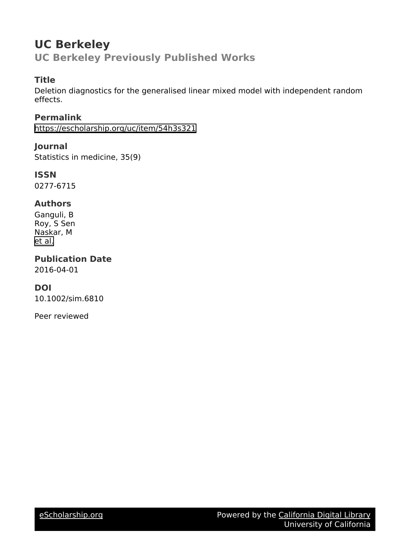# **UC Berkeley UC Berkeley Previously Published Works**

# **Title**

Deletion diagnostics for the generalised linear mixed model with independent random effects.

**Permalink** <https://escholarship.org/uc/item/54h3s321>

**Journal** Statistics in medicine, 35(9)

**ISSN** 0277-6715

# **Authors**

Ganguli, B Roy, S Sen Naskar, M [et al.](https://escholarship.org/uc/item/54h3s321#author)

**Publication Date** 2016-04-01

# **DOI**

10.1002/sim.6810

Peer reviewed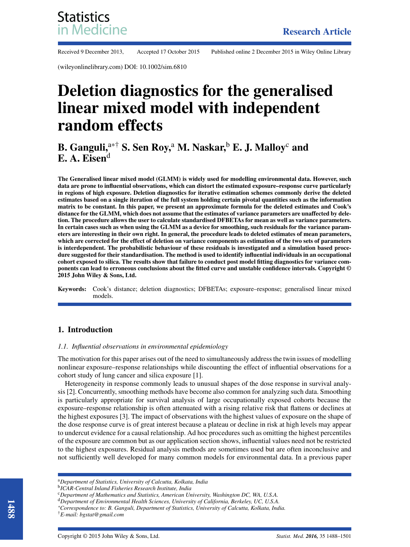**Statistics** in Medicine

Received 9 December 2013, Accepted 17 October 2015 Published online 2 December 2015 in Wiley Online Library

(wileyonlinelibrary.com) DOI: 10.1002/sim.6810

# **Deletion diagnostics for the generalised linear mixed model with independent random effects**

**B. Ganguli,**a\*† **S. Sen Roy,**<sup>a</sup> **M. Naskar,**<sup>b</sup> **E. J. Malloy**<sup>c</sup> **and E. A. Eisen**<sup>d</sup>

**The Generalised linear mixed model (GLMM) is widely used for modelling environmental data. However, such data are prone to influential observations, which can distort the estimated exposure–response curve particularly in regions of high exposure. Deletion diagnostics for iterative estimation schemes commonly derive the deleted estimates based on a single iteration of the full system holding certain pivotal quantities such as the information matrix to be constant. In this paper, we present an approximate formula for the deleted estimates and Cook's distance for the GLMM, which does not assume that the estimates of variance parameters are unaffected by deletion. The procedure allows the user to calculate standardised DFBETAs for mean as well as variance parameters. In certain cases such as when using the GLMM as a device for smoothing, such residuals for the variance parameters are interesting in their own right. In general, the procedure leads to deleted estimates of mean parameters, which are corrected for the effect of deletion on variance components as estimation of the two sets of parameters is interdependent. The probabilistic behaviour of these residuals is investigated and a simulation based procedure suggested for their standardisation. The method is used to identify influential individuals in an occupational cohort exposed to silica. The results show that failure to conduct post model fitting diagnostics for variance components can lead to erroneous conclusions about the fitted curve and unstable confidence intervals. Copyright © 2015 John Wiley & Sons, Ltd.**

<span id="page-1-0"></span>**Keywords:** Cook's distance; deletion diagnostics; DFBETAs; exposure–response; generalised linear mixed models.

# **1. Introduction**

#### *1.1. Influential observations in environmental epidemiology*

The motivation for this paper arises out of the need to simultaneously address the twin issues of modelling nonlinear exposure–response relationships while discounting the effect of influential observations for a cohort study of lung cancer and silica exposure [\[1\]](#page-13-0).

Heterogeneity in response commonly leads to unusual shapes of the dose response in survival analysis [\[2\]](#page-13-1). Concurrently, smoothing methods have become also common for analyzing such data. Smoothing is particularly appropriate for survival analysis of large occupationally exposed cohorts because the exposure–response relationship is often attenuated with a rising relative risk that flattens or declines at the highest exposures [\[3\]](#page-13-2). The impact of observations with the highest values of exposure on the shape of the dose response curve is of great interest because a plateau or decline in risk at high levels may appear to undercut evidence for a causal relationship. Ad hoc procedures such as omitting the highest percentiles of the exposure are common but as our application section shows, influential values need not be restricted to the highest exposures. Residual analysis methods are sometimes used but are often inconclusive and not sufficiently well developed for many common models for environmental data. In a previous paper

<sup>a</sup>*Department of Statistics, University of Calcutta, Kolkata, India*

<sup>b</sup>*ICAR-Central Inland Fisheries Research Institute, India*

<sup>c</sup>*Department of Mathematics and Statistics, American University, Washington DC, WA, U.S.A.*

<sup>d</sup>*Department of Environmental Health Sciences, University of California, Berkeley, UC, U.S.A.*

*<sup>\*</sup>Correspondence to: B. Ganguli, Department of Statistics, University of Calcutta, Kolkata, India.*

<sup>†</sup>*E-mail: bgstat@gmail.com*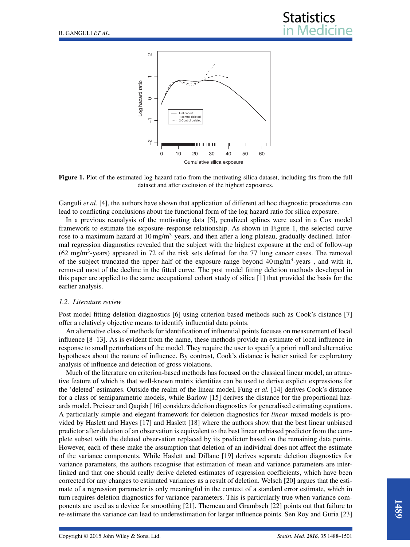

<span id="page-2-0"></span>**Figure 1.** Plot of the estimated log hazard ratio from the motivating silica dataset, including fits from the full dataset and after exclusion of the highest exposures.

Ganguli *et al.* [\[4\]](#page-13-3), the authors have shown that application of different ad hoc diagnostic procedures can lead to conflicting conclusions about the functional form of the log hazard ratio for silica exposure.

In a previous reanalysis of the motivating data [\[5\]](#page-13-4), penalized splines were used in a Cox model framework to estimate the exposure–response relationship. As shown in Figure [1,](#page-2-0) the selected curve rose to a maximum hazard at  $10 \text{ mg/m}^3$ -years, and then after a long plateau, gradually declined. Informal regression diagnostics revealed that the subject with the highest exposure at the end of follow-up  $(62 \text{ mg/m}^3\text{-}$ years) appeared in 72 of the risk sets defined for the 77 lung cancer cases. The removal of the subject truncated the upper half of the exposure range beyond  $40 \text{ mg/m}^3$ -years, and with it, removed most of the decline in the fitted curve. The post model fitting deletion methods developed in this paper are applied to the same occupational cohort study of silica [\[1\]](#page-13-0) that provided the basis for the earlier analysis.

#### *1.2. Literature review*

Post model fitting deletion diagnostics [\[6\]](#page-13-5) using criterion-based methods such as Cook's distance [\[7\]](#page-13-6) offer a relatively objective means to identify influential data points.

An alternative class of methods for identification of influential points focuses on measurement of local influence [\[8](#page-13-7)[–13\]](#page-13-8). As is evident from the name, these methods provide an estimate of local influence in response to small perturbations of the model. They require the user to specify a priori null and alternative hypotheses about the nature of influence. By contrast, Cook's distance is better suited for exploratory analysis of influence and detection of gross violations.

Much of the literature on criterion-based methods has focused on the classical linear model, an attractive feature of which is that well-known matrix identities can be used to derive explicit expressions for the 'deleted' estimates. Outside the realm of the linear model, Fung *et al.* [\[14\]](#page-13-9) derives Cook's distance for a class of semiparametric models, while Barlow [\[15\]](#page-13-10) derives the distance for the proportional hazards model. Preisser and Qaqish [\[16\]](#page-13-11) considers deletion diagnostics for generalised estimating equations. A particularly simple and elegant framework for deletion diagnostics for *linear* mixed models is provided by Haslett and Hayes [\[17\]](#page-13-12) and Haslett [\[18\]](#page-13-13) where the authors show that the best linear unbiased predictor after deletion of an observation is equivalent to the best linear unbiased predictor from the complete subset with the deleted observation replaced by its predictor based on the remaining data points. However, each of these make the assumption that deletion of an individual does not affect the estimate of the variance components. While Haslett and Dillane [\[19\]](#page-13-14) derives separate deletion diagnostics for variance parameters, the authors recognise that estimation of mean and variance parameters are interlinked and that one should really derive deleted estimates of regression coefficients, which have been corrected for any changes to estimated variances as a result of deletion. Welsch [\[20\]](#page-13-15) argues that the estimate of a regression parameter is only meaningful in the context of a standard error estimate, which in turn requires deletion diagnostics for variance parameters. This is particularly true when variance components are used as a device for smoothing [\[21\]](#page-13-16). Therneau and Grambsch [\[22\]](#page-13-17) points out that failure to re-estimate the variance can lead to underestimation for larger influence points. Sen Roy and Guria [\[23\]](#page-13-18)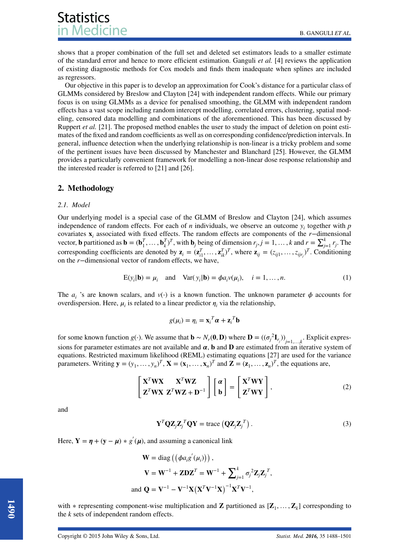shows that a proper combination of the full set and deleted set estimators leads to a smaller estimate of the standard error and hence to more efficient estimation. Ganguli *et al.* [\[4\]](#page-13-3) reviews the application of existing diagnostic methods for Cox models and finds them inadequate when splines are included as regressors.

Our objective in this paper is to develop an approximation for Cook's distance for a particular class of GLMMs considered by Breslow and Clayton [\[24\]](#page-13-19) with independent random effects. While our primary focus is on using GLMMs as a device for penalised smoothing, the GLMM with independent random effects has a vast scope including random intercept modelling, correlated errors, clustering, spatial modeling, censored data modelling and combinations of the aforementioned. This has been discussed by Ruppert *et al.* [\[21\]](#page-13-16). The proposed method enables the user to study the impact of deletion on point estimates of the fixed and random coefficients as well as on corresponding confidence/prediction intervals. In general, influence detection when the underlying relationship is non-linear is a tricky problem and some of the pertinent issues have been discussed by Manchester and Blanchard [\[25\]](#page-13-20). However, the GLMM provides a particularly convenient framework for modelling a non-linear dose response relationship and the interested reader is referred to [\[21\]](#page-13-16) and [\[26\]](#page-14-1).

# **2. Methodology**

#### *2.1. Model*

Our underlying model is a special case of the GLMM of Breslow and Clayton [\[24\]](#page-13-19), which assumes independence of random effects. For each of *n* individuals, we observe an outcome  $y_i$  together with  $p$ covariates **x***<sup>i</sup>* associated with fixed effects. The random effects are components of the *r*−dimensional covariates  $\mathbf{x}_i$  associated with fixed effects. The failuon effects are components of the r-differentiation<br>vector, **b** partitioned as  $\mathbf{b} = (\mathbf{b}_1^T, \dots, \mathbf{b}_k^T)^T$ , with  $\mathbf{b}_j$  being of dimension  $r_j$ ,  $j = 1, \dots$ corresponding coefficients are denoted by  $\mathbf{z}_i = (\mathbf{z}_{i1}^T, \dots, \mathbf{z}_{ik}^T)^T$ , where  $\mathbf{z}_{ij} = (z_{ij1}, \dots, z_{ijr_j})^T$ . Conditioning on the *r*−dimensional vector of random effects, we have,

$$
E(yi|b) = \mui \text{ and } Var(yi|b) = \phi ai v(\mui), \quad i = 1, ..., n.
$$
 (1)

The  $a_i$  's are known scalars, and  $v(\cdot)$  is a known function. The unknown parameter  $\phi$  accounts for overdispersion. Here,  $\mu_i$  is related to a linear predictor  $\eta_i$  via the relationship,

$$
g(\mu_i) = \eta_i = \mathbf{x}_i^T \boldsymbol{\alpha} + \mathbf{z}_i^T \mathbf{b}
$$

for some known function *g*(⋅). We assume that **b** ~  $N_r$ (**0**, **D**) where **D** =  $((\sigma_j^2 \mathbf{I}_{r_j}))_{j=1,...,k}$ . Explicit expressions for parameter estimates are not available and  $\alpha$ , **b** and **D** are estimated from an iterative system of equations. Restricted maximum likelihood (REML) estimating equations [\[27\]](#page-14-2) are used for the variance parameters. Writing  $\mathbf{y} = (y_1, \dots, y_n)^T$ ,  $\mathbf{X} = (\mathbf{x}_1, \dots, \mathbf{x}_n)^T$  and  $\mathbf{Z} = (\mathbf{z}_1, \dots, \mathbf{z}_n)^T$ , the equations are,

<span id="page-3-0"></span>
$$
\begin{bmatrix} \mathbf{X}^T \mathbf{W} \mathbf{X} & \mathbf{X}^T \mathbf{W} \mathbf{Z} \\ \mathbf{Z}^T \mathbf{W} \mathbf{X} & \mathbf{Z}^T \mathbf{W} \mathbf{Z} + \mathbf{D}^{-1} \end{bmatrix} \begin{bmatrix} \alpha \\ \mathbf{b} \end{bmatrix} = \begin{bmatrix} \mathbf{X}^T \mathbf{W} \mathbf{Y} \\ \mathbf{Z}^T \mathbf{W} \mathbf{Y} \end{bmatrix},
$$
(2)

and

<span id="page-3-1"></span>
$$
\mathbf{Y}^T \mathbf{Q} \mathbf{Z}_j \mathbf{Z}_j^T \mathbf{Q} \mathbf{Y} = \text{trace} \left( \mathbf{Q} \mathbf{Z}_j \mathbf{Z}_j^T \right). \tag{3}
$$

Here,  $Y = \eta + (y - \mu) * g'(\mu)$ , and assuming a canonical link

$$
\mathbf{W} = \text{diag}\left(\left(\phi a_i g'(\mu_i)\right)\right),
$$
\n
$$
\mathbf{V} = \mathbf{W}^{-1} + \mathbf{Z} \mathbf{D} \mathbf{Z}^T = \mathbf{W}^{-1} + \sum_{j=1}^k \sigma_j^2 \mathbf{Z}_j \mathbf{Z}_j^T,
$$
\n
$$
\text{and } \mathbf{Q} = \mathbf{V}^{-1} - \mathbf{V}^{-1} \mathbf{X} \left(\mathbf{X}^T \mathbf{V}^{-1} \mathbf{X}\right)^{-1} \mathbf{X}^T \mathbf{V}^{-1},
$$

with ∗ representing component-wise multiplication and **Z** partitioned as [**Z**1*,*…*,***Z***k*] corresponding to the *k* sets of independent random effects.

**1490**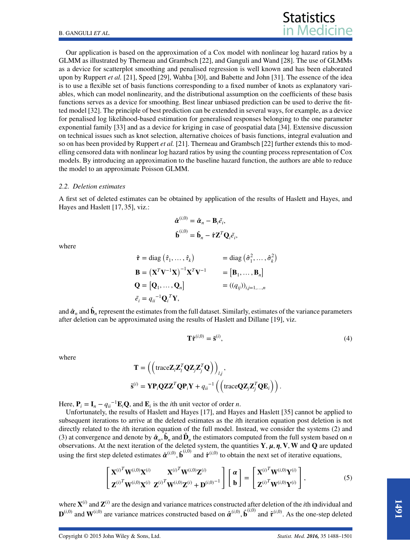

#### *2.2. Deletion estimates*

A first set of deleted estimates can be obtained by application of the results of Haslett and Hayes, and Hayes and Haslett [\[17,](#page-13-12) [35\]](#page-14-10), viz.:

$$
\hat{\boldsymbol{\alpha}}^{(i,0)} = \hat{\boldsymbol{\alpha}}_n - \mathbf{B}_i \tilde{e}_i,
$$
  

$$
\hat{\mathbf{b}}^{(i,0)} = \hat{\mathbf{b}}_n - \hat{\boldsymbol{\tau}} \mathbf{Z}^T \mathbf{Q}_i \tilde{e}_i,
$$

where

$$
\hat{\tau} = \text{diag}(\hat{\tau}_1, \dots, \hat{\tau}_k) = \text{diag}(\hat{\sigma}_1^2, \dots, \hat{\sigma}_k^2)
$$
  
\n
$$
\mathbf{B} = (\mathbf{X}^T \mathbf{V}^{-1} \mathbf{X})^{-1} \mathbf{X}^T \mathbf{V}^{-1} = [\mathbf{B}_1, \dots, \mathbf{B}_n]
$$
  
\n
$$
\mathbf{Q} = [\mathbf{Q}_1, \dots, \mathbf{Q}_n] = ((q_{ij}))_{i,j=1,\dots,n}
$$
  
\n
$$
\tilde{e}_i = q_{ii}^{-1} \mathbf{Q}_i^T \mathbf{Y},
$$

and  $\hat{\pmb{\alpha}}_n$  and  $\hat{\pmb{b}}_n$  represent the estimates from the full dataset. Similarly, estimates of the variance parameters after deletion can be approximated using the results of Haslett and Dillane [\[19\]](#page-13-14), viz.

$$
\mathbf{T}\hat{\boldsymbol{\tau}}^{(i,0)} = \tilde{\mathbf{s}}^{(i)},\tag{4}
$$

**Statistics** 

where

$$
\mathbf{T} = \left( \left( \text{trace} \mathbf{Z}_{l} \mathbf{Z}_{l}^{T} \mathbf{Q} \mathbf{Z}_{j} \mathbf{Z}_{j}^{T} \mathbf{Q} \right) \right)_{l,j},
$$
  

$$
\tilde{\mathbf{s}}^{(i)} = \mathbf{Y} \mathbf{P}_{i} \mathbf{Q} \mathbf{Z} \mathbf{Z}^{T} \mathbf{Q} \mathbf{P}_{i} \mathbf{Y} + q_{ii}^{-1} \left( \left( \text{trace} \mathbf{Q} \mathbf{Z}_{j} \mathbf{Z}_{j}^{T} \mathbf{Q} \mathbf{E}_{i} \right) \right).
$$

Here,  $P_i = I_n - q_{ii}^{-1}E_iQ$ , and  $E_i$  is the *i*th unit vector of order *n*.

Unfortunately, the results of Haslett and Hayes [\[17\]](#page-13-12), and Hayes and Haslett [\[35\]](#page-14-10) cannot be applied to subsequent iterations to arrive at the deleted estimates as the *i*th iteration equation post deletion is not directly related to the *i*th iteration equation of the full model. Instead, we consider the systems [\(2\)](#page-3-0) and [\(3\)](#page-3-1) at convergence and denote by  $\hat{\alpha}_n$ ,  $\hat{\beta}_n$  and  $\hat{\mathbf{D}}_n$  the estimators computed from the full system based on *n* observations. At the next iteration of the deleted system, the quantities  $Y, \mu, \eta, V, W$  and  $Q$  are updated using the first step deleted estimates  $\hat{\alpha}^{(i,0)}$ ,  $\hat{\mathbf{b}}^{(i,0)}$  and  $\hat{\tau}^{(i,0)}$  to obtain the next set of iterative equations,

<span id="page-4-0"></span>
$$
\begin{bmatrix} {\bf X}^{(i)^T} {\bf W}^{(i,0)} {\bf X}^{(i)} & {\bf X}^{(i)^T} {\bf W}^{(i,0)} {\bf Z}^{(i)} \\ {\bf Z}^{(i)^T} {\bf W}^{(i,0)} {\bf X}^{(i)} & {\bf Z}^{(i)^T} {\bf W}^{(i,0)} {\bf Z}^{(i)} + {\bf D}^{(i,0)}^{-1} \end{bmatrix} \begin{bmatrix} \alpha \\ b \end{bmatrix} = \begin{bmatrix} {\bf X}^{(i)^T} {\bf W}^{(i,0)} {\bf Y}^{(i)} \\ {\bf Z}^{(i)^T} {\bf W}^{(i,0)} {\bf Y}^{(i)} \end{bmatrix},
$$
(5)

where  $X^{(i)}$  and  $Z^{(i)}$  are the design and variance matrices constructed after deletion of the *i*th individual and  $\mathbf{D}^{(i,0)}$  and  $\mathbf{W}^{(i,0)}$  are variance matrices constructed based on  $\hat{\boldsymbol{\alpha}}^{(i,0)}$ ,  $\hat{\mathbf{b}}^{(i,0)}$  and  $\hat{\boldsymbol{\tau}}^{(i,0)}$ . As the one-step deleted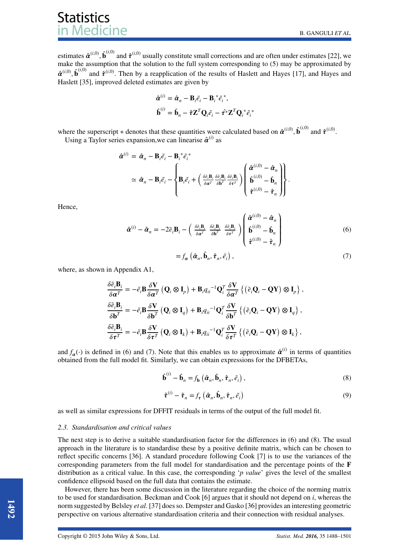estimates  $\hat{\alpha}^{(i,0)}$ ,  $\hat{\mathbf{b}}^{(i,0)}$  and  $\hat{\tau}^{(i,0)}$  usually constitute small corrections and are often under estimates [\[22\]](#page-13-17), we make the assumption that the solution to the full system corresponding to [\(5\)](#page-4-0) may be approximated by  $\hat{\alpha}^{(i,0)}$ ,  $\hat{\mathbf{b}}^{(i,0)}$  and  $\hat{\tau}^{(i,0)}$ . Then by a reapplication of the results of Haslett and Hayes [\[17\]](#page-13-12), and Hayes and Haslett [\[35\]](#page-14-10), improved deleted estimates are given by

$$
\hat{\boldsymbol{\alpha}}^{(i)} = \hat{\boldsymbol{\alpha}}_n - \mathbf{B}_i \tilde{e}_i - \mathbf{B}_i^* \tilde{e}_i^*,
$$
  

$$
\hat{\mathbf{b}}^{(i)} = \hat{\mathbf{b}}_n - \hat{\boldsymbol{\tau}} \mathbf{Z}^T \mathbf{Q}_i \tilde{e}_i - \hat{\boldsymbol{\tau}}^* \mathbf{Z}^T \mathbf{Q}_i^* \tilde{e}_i^*
$$

where the superscript  $*$  denotes that these quantities were calculated based on  $\hat{\alpha}^{(i,0)}$ ,  $\hat{\mathbf{b}}^{(i,0)}$  and  $\hat{\tau}^{(i,0)}$ .

Using a Taylor series expansion, we can linearise  $\hat{\alpha}^{(i)}$  as

$$
\hat{\boldsymbol{\alpha}}^{(i)} = \hat{\boldsymbol{\alpha}}_n - \mathbf{B}_i \tilde{e}_i - \mathbf{B}_i^* \tilde{e}_i^*
$$
\n
$$
\simeq \hat{\boldsymbol{\alpha}}_n - \mathbf{B}_i \tilde{e}_i - \left\{ \mathbf{B}_i \tilde{e}_i + \left( \frac{\delta \tilde{e}_i \mathbf{B}_i}{\delta \boldsymbol{\alpha}^T} \frac{\delta \tilde{e}_i \mathbf{B}_i}{\delta \mathbf{b}^T} \frac{\delta \tilde{e}_i \mathbf{B}_i}{\delta \boldsymbol{\tau}^T} \right) \left( \begin{array}{c} \hat{\boldsymbol{\alpha}}^{(i,0)} - \hat{\boldsymbol{\alpha}}_n \\ \hat{\mathbf{b}}^{(i,0)} - \hat{\mathbf{b}}_n \\ \hat{\boldsymbol{\tau}}^{(i,0)} - \hat{\boldsymbol{\tau}}_n \end{array} \right) \right\}.
$$

Hence,

**Statistics** 

Medicine

<span id="page-5-1"></span><span id="page-5-0"></span>
$$
\hat{\boldsymbol{\alpha}}^{(i)} - \hat{\boldsymbol{\alpha}}_n = -2\tilde{e}_i \mathbf{B}_i - \left(\frac{\delta \tilde{e}_i \mathbf{B}_i}{\delta \boldsymbol{\alpha}^T} \frac{\delta \tilde{e}_i \mathbf{B}_i}{\delta \mathbf{b}^T} \frac{\delta \tilde{e}_i \mathbf{B}_i}{\delta \boldsymbol{\tau}^T}\right) \begin{pmatrix} \hat{\boldsymbol{\alpha}}^{(i,0)} - \hat{\boldsymbol{\alpha}}_n \\ \hat{\mathbf{b}}^{(i,0)} - \hat{\mathbf{b}}_n \\ \hat{\boldsymbol{\tau}}^{(i,0)} - \hat{\boldsymbol{\tau}}_n \end{pmatrix}
$$
(6)  

$$
= f_{\boldsymbol{\alpha}} \left( \hat{\boldsymbol{\alpha}}_n, \hat{\mathbf{b}}_n, \hat{\boldsymbol{\tau}}_n, \tilde{e}_i \right),
$$

where, as shown in Appendix A1,

$$
\frac{\delta \tilde{e}_{i} \mathbf{B}_{i}}{\delta \boldsymbol{\alpha}^{T}} = -\tilde{e}_{i} \mathbf{B} \frac{\delta \mathbf{V}}{\delta \boldsymbol{\alpha}^{T}} \left( \mathbf{Q}_{i} \otimes \mathbf{I}_{p} \right) + \mathbf{B}_{i} q_{ii}^{-1} \mathbf{Q}_{i}^{T} \frac{\delta \mathbf{V}}{\delta \boldsymbol{\alpha}^{T}} \left\{ \left( \tilde{e}_{i} \mathbf{Q}_{i} - \mathbf{Q} \mathbf{Y} \right) \otimes \mathbf{I}_{p} \right\},
$$
\n
$$
\frac{\delta \tilde{e}_{i} \mathbf{B}_{i}}{\delta \mathbf{b}^{T}} = -\tilde{e}_{i} \mathbf{B} \frac{\delta \mathbf{V}}{\delta \mathbf{b}^{T}} \left( \mathbf{Q}_{i} \otimes \mathbf{I}_{q} \right) + \mathbf{B}_{i} q_{ii}^{-1} \mathbf{Q}_{i}^{T} \frac{\delta \mathbf{V}}{\delta \mathbf{b}^{T}} \left\{ \left( \tilde{e}_{i} \mathbf{Q}_{i} - \mathbf{Q} \mathbf{Y} \right) \otimes \mathbf{I}_{q} \right\},
$$
\n
$$
\frac{\delta \tilde{e}_{i} \mathbf{B}_{i}}{\delta \boldsymbol{\tau}^{T}} = -\tilde{e}_{i} \mathbf{B} \frac{\delta \mathbf{V}}{\delta \boldsymbol{\tau}^{T}} \left( \mathbf{Q}_{i} \otimes \mathbf{I}_{k} \right) + \mathbf{B}_{i} q_{ii}^{-1} \mathbf{Q}_{i}^{T} \frac{\delta \mathbf{V}}{\delta \boldsymbol{\tau}^{T}} \left\{ \left( \tilde{e}_{i} \mathbf{Q}_{i} - \mathbf{Q} \mathbf{Y} \right) \otimes \mathbf{I}_{k} \right\},
$$

and  $f_{\alpha}(\cdot)$  is defined in [\(6\)](#page-5-0) and [\(7\)](#page-5-1). Note that this enables us to approximate  $\hat{\alpha}^{(i)}$  in terms of quantities obtained from the full model fit. Similarly, we can obtain expressions for the DFBETAs,

<span id="page-5-2"></span>
$$
\hat{\mathbf{b}}^{(i)} - \hat{\mathbf{b}}_n = f_{\mathbf{b}} \left( \hat{\boldsymbol{\alpha}}_n, \hat{\mathbf{b}}_n, \hat{\boldsymbol{\tau}}_n, \tilde{e}_i \right),
$$
\n(8)

$$
\hat{\boldsymbol{\tau}}^{(i)} - \hat{\boldsymbol{\tau}}_n = f_{\boldsymbol{\tau}}\left(\hat{\boldsymbol{\alpha}}_n, \hat{\mathbf{b}}_n, \hat{\boldsymbol{\tau}}_n, \tilde{e}_i\right)
$$
(9)

as well as similar expressions for DFFIT residuals in terms of the output of the full model fit.

#### <span id="page-5-3"></span>*2.3. Standardisation and critical values*

The next step is to derive a suitable standardisation factor for the differences in [\(6\)](#page-5-0) and [\(8\)](#page-5-2). The usual approach in the literature is to standardise these by a positive definite matrix, which can be chosen to reflect specific concerns [\[36\]](#page-14-11). A standard procedure following Cook [\[7\]](#page-13-6) is to use the variances of the corresponding parameters from the full model for standardisation and the percentage points of the **F** distribution as a critical value. In this case, the corresponding '*p value*' gives the level of the smallest confidence ellipsoid based on the full data that contains the estimate.

However, there has been some discussion in the literature regarding the choice of the norming matrix to be used for standardisation. Beckman and Cook [\[6\]](#page-13-5) argues that it should not depend on *i*, whereas the norm suggested by Belsley *et al.* [\[37\]](#page-14-12) does so. Dempster and Gasko [\[36\]](#page-14-11) provides an interesting geometric perspective on various alternative standardisation criteria and their connection with residual analyses.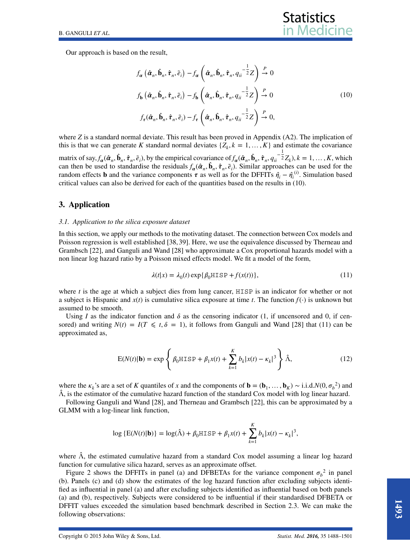Our approach is based on the result,

<span id="page-6-0"></span>
$$
f_{\alpha} \left( \hat{\boldsymbol{\alpha}}_{n}, \hat{\mathbf{b}}_{n}, \hat{\boldsymbol{\tau}}_{n}, \tilde{\boldsymbol{e}}_{i} \right) - f_{\alpha} \left( \hat{\boldsymbol{\alpha}}_{n}, \hat{\mathbf{b}}_{n}, \hat{\boldsymbol{\tau}}_{n}, q_{ii}^{-\frac{1}{2}} Z \right) \stackrel{P}{\rightarrow} 0
$$
  

$$
f_{\mathbf{b}} \left( \hat{\boldsymbol{\alpha}}_{n}, \hat{\mathbf{b}}_{n}, \hat{\boldsymbol{\tau}}_{n}, \tilde{\boldsymbol{e}}_{i} \right) - f_{\mathbf{b}} \left( \hat{\boldsymbol{\alpha}}_{n}, \hat{\mathbf{b}}_{n}, \hat{\boldsymbol{\tau}}_{n}, q_{ii}^{-\frac{1}{2}} Z \right) \stackrel{P}{\rightarrow} 0
$$
  

$$
f_{\tau}(\hat{\boldsymbol{\alpha}}_{n}, \hat{\mathbf{b}}_{n}, \hat{\boldsymbol{\tau}}_{n}, \tilde{\boldsymbol{e}}_{i}) - f_{\tau} \left( \hat{\boldsymbol{\alpha}}_{n}, \hat{\mathbf{b}}_{n}, \hat{\boldsymbol{\tau}}_{n}, q_{ii}^{-\frac{1}{2}} Z \right) \stackrel{P}{\rightarrow} 0,
$$
  
(10)

where *Z* is a standard normal deviate. This result has been proved in Appendix (A2). The implication of this is that we can generate *K* standard normal deviates  $\{Z_k, k = 1, \ldots, K\}$  and estimate the covariance

matrix of say,  $f_{\alpha}(\hat{\alpha}_n, \hat{\mathbf{b}}_n, \hat{\tau}_n, \tilde{e}_i)$ , by the empirical covariance of  $f_{\alpha}(\hat{\alpha}_n, \hat{\mathbf{b}}_n, \hat{\tau}_n, q_{ii})$  $-\frac{1}{2}$  $2 Z_k$ ,  $k = 1, ..., K$ , which can then be used to standardise the residuals  $f_{\alpha}(\hat{\boldsymbol{\alpha}}_n, \hat{\boldsymbol{b}}_n, \hat{\boldsymbol{\tau}}_n, \tilde{\boldsymbol{e}}_i)$ . Similar approaches can be used for the random effects **b** and the variance components  $\tau$  as well as for the DFFITs  $\hat{\eta}_i - \hat{\eta}_i^{(i)}$ . Simulation based critical values can also be derived for each of the quantities based on the results in [\(10\)](#page-6-0).

### **3. Application**

#### *3.1. Application to the silica exposure dataset*

In this section, we apply our methods to the motivating dataset. The connection between Cox models and Poisson regression is well established [\[38,](#page-14-13) [39\]](#page-14-14). Here, we use the equivalence discussed by Therneau and Grambsch [\[22\]](#page-13-17), and Ganguli and Wand [\[28\]](#page-14-3) who approximate a Cox proportional hazards model with a non linear log hazard ratio by a Poisson mixed effects model. We fit a model of the form,

<span id="page-6-1"></span>
$$
\lambda(t|x) = \lambda_0(t) \exp{\{\beta_0 H \text{ISP} + f(x(t))\}},\tag{11}
$$

where *t* is the age at which a subject dies from lung cancer, HISP is an indicator for whether or not a subject is Hispanic and *x*(*t*) is cumulative silica exposure at time *t*. The function *f*(⋅) is unknown but assumed to be smooth.

Using *I* as the indicator function and  $\delta$  as the censoring indicator (1, if uncensored and 0, if censored) and writing  $N(t) = I(T \leq t, \delta = 1)$ , it follows from Ganguli and Wand [\[28\]](#page-14-3) that [\(11\)](#page-6-1) can be approximated as,

$$
E(N(t)|\mathbf{b}) = \exp\left\{\beta_0 H \text{ISP} + \beta_1 x(t) + \sum_{k=1}^K b_k |x(t) - \kappa_k|^3 \right\} \hat{\Lambda},\tag{12}
$$

where the  $\kappa_k$ 's are a set of *K* quantiles of *x* and the components of **b** = (**b**<sub>1</sub>*, ...*, **b**<sub>K</sub> $) \sim$  i.i.d.*N*(0*,*  $\sigma_b^2$ ) and Λ*̂* , is the estimator of the cumulative hazard function of the standard Cox model with log linear hazard.

Following Ganguli and Wand [\[28\]](#page-14-3), and Therneau and Grambsch [\[22\]](#page-13-17), this can be approximated by a GLMM with a log-linear link function,

$$
\log \{ E(N(t)|\mathbf{b}) \} = \log(\hat{\Lambda}) + \beta_0 \text{HISP} + \beta_1 x(t) + \sum_{k=1}^{K} b_k |x(t) - \kappa_k|^3,
$$

where  $\hat{\Lambda}$ , the estimated cumulative hazard from a standard Cox model assuming a linear log hazard function for cumulative silica hazard, serves as an approximate offset.

Figure [2](#page-7-0) shows the DFFITs in panel (a) and DFBETAs for the variance component  $\sigma_b^2$  in panel (b). Panels (c) and (d) show the estimates of the log hazard function after excluding subjects identified as influential in panel (a) and after excluding subjects identified as influential based on both panels (a) and (b), respectively. Subjects were considered to be influential if their standardised DFBETA or DFFIT values exceeded the simulation based benchmark described in Section [2.3.](#page-5-3) We can make the following observations: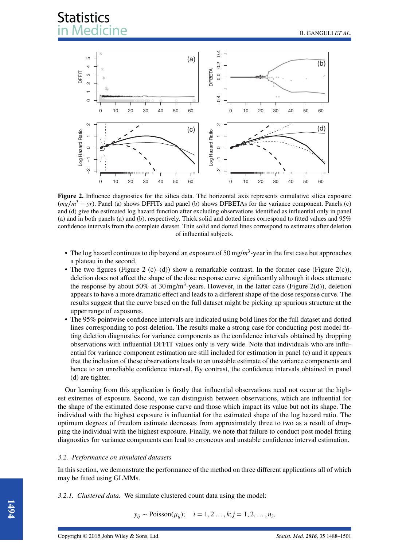

<span id="page-7-0"></span>**Figure 2.** Influence diagnostics for the silica data. The horizontal axis represents cumulative silica exposure (*mg*∕*m*<sup>3</sup> − *yr*). Panel (a) shows DFFITs and panel (b) shows DFBETAs for the variance component. Panels (c) and (d) give the estimated log hazard function after excluding observations identified as influential only in panel (a) and in both panels (a) and (b), respectively. Thick solid and dotted lines correspond to fitted values and 95% confidence intervals from the complete dataset. Thin solid and dotted lines correspond to estimates after deletion of influential subjects.

- The log hazard continues to dip beyond an exposure of 50 mg/*m*3-year in the first case but approaches a plateau in the second.
- The two figures (Figure [2](#page-7-0) (c)–(d)) show a remarkable contrast. In the former case (Figure [2\(](#page-7-0)c)), deletion does not affect the shape of the dose response curve significantly although it does attenuate the response by about 50% at 30 mg/m<sup>3</sup>-years. However, in the latter case (Figure [2\(](#page-7-0)d)), deletion appears to have a more dramatic effect and leads to a different shape of the dose response curve. The results suggest that the curve based on the full dataset might be picking up spurious structure at the upper range of exposures.
- The 95% pointwise confidence intervals are indicated using bold lines for the full dataset and dotted lines corresponding to post-deletion. The results make a strong case for conducting post model fitting deletion diagnostics for variance components as the confidence intervals obtained by dropping observations with influential DFFIT values only is very wide. Note that individuals who are influential for variance component estimation are still included for estimation in panel (c) and it appears that the inclusion of these observations leads to an unstable estimate of the variance components and hence to an unreliable confidence interval. By contrast, the confidence intervals obtained in panel (d) are tighter.

Our learning from this application is firstly that influential observations need not occur at the highest extremes of exposure. Second, we can distinguish between observations, which are influential for the shape of the estimated dose response curve and those which impact its value but not its shape. The individual with the highest exposure is influential for the estimated shape of the log hazard ratio. The optimum degrees of freedom estimate decreases from approximately three to two as a result of dropping the individual with the highest exposure. Finally, we note that failure to conduct post model fitting diagnostics for variance components can lead to erroneous and unstable confidence interval estimation.

#### *3.2. Performance on simulated datasets*

In this section, we demonstrate the performance of the method on three different applications all of which may be fitted using GLMMs.

*3.2.1. Clustered data.* We simulate clustered count data using the model:

 $y_{ij} \sim \text{Poisson}(\mu_{ij}); \quad i = 1, 2, ..., k; j = 1, 2, ..., n_i,$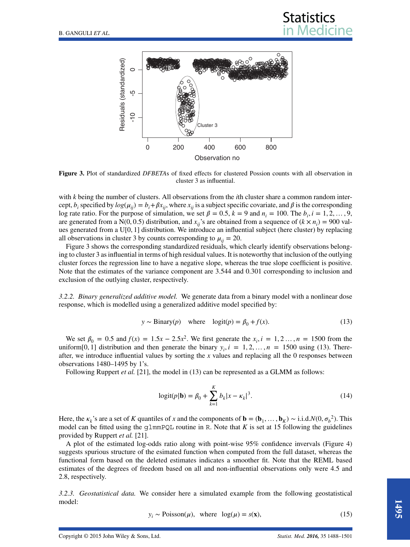

<span id="page-8-0"></span>**Figure 3.** Plot of standardized *DFBETA*s of fixed effects for clustered Possion counts with all observation in cluster 3 as influential.

with *k* being the number of clusters. All observations from the *i*th cluster share a common random intercept,  $b_i$  specified by  $log(\mu_{ij}) = b_i + \beta x_{ij}$ , where  $x_{ij}$  is a subject specific covariate, and  $\beta$  is the corresponding log rate ratio. For the purpose of simulation, we set  $\beta = 0.5$ ,  $k = 9$  and  $n_i = 100$ . The  $b_i$ ,  $i = 1, 2, ..., 9$ , are generated from a N(0, 0.5) distribution, and  $x_{ij}$ 's are obtained from a sequence of  $(k \times n_i) = 900$  values generated from a U[0*,* 1] distribution. We introduce an influential subject (here cluster) by replacing all observations in cluster 3 by counts corresponding to  $\mu_{ii} = 20$ .

Figure [3](#page-8-0) shows the corresponding standardized residuals, which clearly identify observations belonging to cluster 3 as influential in terms of high residual values. It is noteworthy that inclusion of the outlying cluster forces the regression line to have a negative slope, whereas the true slope coefficient is positive. Note that the estimates of the variance component are 3.544 and 0.301 corresponding to inclusion and exclusion of the outlying cluster, respectively.

*3.2.2. Binary generalized additive model.* We generate data from a binary model with a nonlinear dose response, which is modelled using a generalized additive model specified by:

<span id="page-8-1"></span>
$$
y \sim \text{Binary}(p) \quad \text{where} \quad \text{logit}(p) = \beta_0 + f(x). \tag{13}
$$

We set  $\beta_0 = 0.5$  and  $f(x) = 1.5x - 2.5x^2$ . We first generate the  $x_i$ ,  $i = 1, 2, ..., n = 1500$  from the uniform[0, 1] distribution and then generate the binary  $y_i$ ,  $i = 1, 2, ..., n = 1500$  using [\(13\)](#page-8-1). Thereafter, we introduce influential values by sorting the *x* values and replacing all the 0 responses between observations 1480–1495 by 1's.

Following Ruppert *et al.* [\[21\]](#page-13-16), the model in [\(13\)](#page-8-1) can be represented as a GLMM as follows:

$$
logit(p|\mathbf{b}) = \beta_0 + \sum_{k=1}^{K} b_k |x - \kappa_k|^3.
$$
 (14)

Here, the  $\kappa_k$ 's are a set of *K* quantiles of *x* and the components of **b** = (**b**<sub>1</sub>, ..., **b**<sub>K</sub>) ~ i.i.d.*N*(0,  $\sigma_b^2$ ). This model can be fitted using the glmmPQL routine in R. Note that *K* is set at 15 following the guidelines provided by Ruppert *et al.* [\[21\]](#page-13-16).

A plot of the estimated log-odds ratio along with point-wise 95% confidence invervals (Figure [4\)](#page-9-0) suggests spurious structure of the esimated function when computed from the full dataset, whereas the functional form based on the deleted estimates indicates a smoother fit. Note that the REML based estimates of the degrees of freedom based on all and non-influential observations only were 4.5 and 2.8, respectively.

*3.2.3. Geostatistical data.* We consider here a simulated example from the following geostatistical model:

<span id="page-8-2"></span>
$$
y_i \sim \text{Poisson}(\mu)
$$
, where  $\log(\mu) = s(\mathbf{x})$ , (15)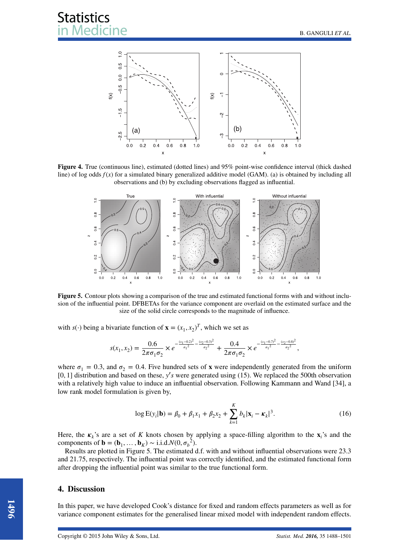



**Figure 4.** True (continuous line), estimated (dotted lines) and 95% point-wise confidence interval (thick dashed line) of log odds  $f(x)$  for a simulated binary generalized additive model (GAM). (a) is obtained by including all observations and (b) by excluding observations flagged as influential.

<span id="page-9-0"></span>

<span id="page-9-1"></span>**Figure 5.** Contour plots showing a comparison of the true and estimated functional forms with and without inclusion of the influential point. DFBETAs for the variance component are overlaid on the estimated surface and the size of the solid circle corresponds to the magnitude of influence.

with *s*(·) being a bivariate function of  $\mathbf{x} = (x_1, x_2)^T$ , which we set as

$$
s(x_1, x_2) = \frac{0.6}{2\pi\sigma_1\sigma_2} \times e^{-\frac{(x_1 - 0.2)^2}{\sigma_1^2} - \frac{(x_2 - 0.3)^2}{\sigma_2^2}} + \frac{0.4}{2\pi\sigma_1\sigma_2} \times e^{-\frac{(x_1 - 0.7)^2}{\sigma_1^2} - \frac{(x_2 - 0.8)^2}{\sigma_2^2}},
$$

where  $\sigma_1 = 0.3$ , and  $\sigma_2 = 0.4$ . Five hundred sets of **x** were independently generated from the uniform [0*,* 1] distribution and based on these, *y*′ *s* were generated using [\(15\)](#page-8-2). We replaced the 500th observation with a relatively high value to induce an influential observation. Following Kammann and Wand [\[34\]](#page-14-9), a low rank model formulation is given by,

$$
\log E(y_i|\mathbf{b}) = \beta_0 + \beta_1 x_1 + \beta_2 x_2 + \sum_{k=1}^{K} b_k |\mathbf{x}_i - \mathbf{x}_k|^3.
$$
 (16)

Here, the  $\kappa_k$ 's are a set of *K* knots chosen by applying a space-filling algorithm to the  $\kappa_i$ 's and the components of **b** = (**b**<sub>1</sub>*,*…*,* **b**<sub>K</sub></sub>) ~ i.i.d. $N(0, \sigma_b^2)$ .

Results are plotted in Figure [5.](#page-9-1) The estimated d.f. with and without influential observations were 23.3 and 21.75, respectively. The influential point was correctly identified, and the estimated functional form after dropping the influential point was similar to the true functional form.

## **4. Discussion**

In this paper, we have developed Cook's distance for fixed and random effects parameters as well as for variance component estimates for the generalised linear mixed model with independent random effects.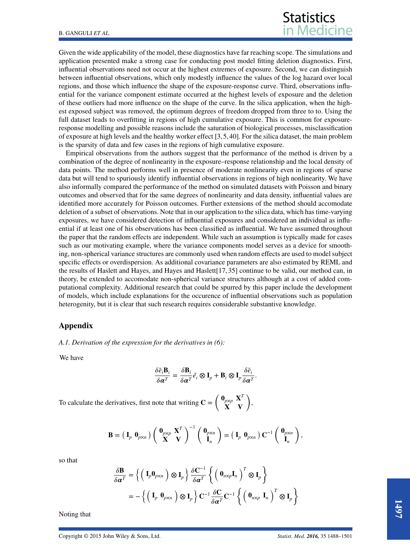Given the wide applicability of the model, these diagnostics have far reaching scope. The simulations and application presented make a strong case for conducting post model fitting deletion diagnostics. First, influential observations need not occur at the highest extremes of exposure. Second, we can distinguish between influential observations, which only modestly influence the values of the log hazard over local regions, and those which influence the shape of the exposure-response curve. Third, observations influential for the variance component estimate occurred at the highest levels of exposure and the deletion of these outliers had more influence on the shape of the curve. In the silica application, when the highest exposed subject was removed, the optimum degrees of freedom dropped from three to to. Using the full dataset leads to overfitting in regions of high cumulative exposure. This is common for exposureresponse modelling and possible reasons include the saturation of biological processes, misclassification of exposure at high levels and the healthy worker effect [\[3,](#page-13-2) [5,](#page-13-4) [40\]](#page-14-15). For the silica dataset, the main problem is the sparsity of data and few cases in the regions of high cumulative exposure.

Empirical observations from the authors suggest that the performance of the method is driven by a combination of the degree of nonlinearity in the exposure–response relationship and the local density of data points. The method performs well in presence of moderate nonlinearity even in regions of sparse data but will tend to spuriously identify influential observations in regions of high nonlinearity. We have also informally compared the performance of the method on simulated datasets with Poisson and binary outcomes and observed that for the same degrees of nonlinearity and data density, influential values are identified more accurately for Poisson outcomes. Further extensions of the method should accomodate deletion of a subset of observations. Note that in our application to the silica data, which has time-varying exposures, we have considered detection of influential exposures and considered an individual as influential if at least one of his observations has been classified as influential. We have assumed throughout the paper that the random effects are independent. While such an assumption is typically made for cases such as our motivating example, where the variance components model serves as a device for smoothing, non-spherical variance structures are commonly used when random effects are used to model subject specific effects or overdispersion. As additional covariance parameters are also estimated by REML and the results of Haslett and Hayes, and Hayes and Haslett[\[17,](#page-13-12) [35\]](#page-14-10) continue to be valid, our method can, in theory, be extended to accomodate non-spherical variance structures although at a cost of added computational complexity. Additional research that could be spurred by this paper include the development of models, which include explanations for the occurence of influential observations such as population heterogenity, but it is clear that such research requires considerable substantive knowledge.

# **Appendix**

#### *A.1. Derivation of the expression for the derivatives in [\(6\)](#page-5-0):*

We have

$$
\frac{\delta \tilde{e}_i \mathbf{B}_i}{\delta \alpha^T} = \frac{\delta \mathbf{B}_i}{\delta \alpha^T} \tilde{e}_i \otimes \mathbf{I}_p + \mathbf{B}_i \otimes \mathbf{I}_p \frac{\delta \tilde{e}_i}{\delta \alpha^T}.
$$

To calculate the derivatives, first note that writing  $C =$  $\mathcal{L}$  $\mathbf{0}_{p\times p}$   $\mathbf{X}^T$  $\begin{pmatrix} \mathbf{x}^T \ \mathbf{X}^T \ \mathbf{X} \end{pmatrix},$ 

$$
\mathbf{B} = \left(\mathbf{I}_p \ \mathbf{0}_{p \times n}\right) \left(\begin{array}{cc} \mathbf{0}_{p \times p} & \mathbf{X}^T \\ \mathbf{X} & \mathbf{V} \end{array}\right)^{-1} \left(\begin{array}{c} \mathbf{0}_{p \times n} \\ \mathbf{I}_n \end{array}\right) = \left(\mathbf{I}_p \ \mathbf{0}_{p \times n}\right) \mathbf{C}^{-1} \left(\begin{array}{c} \mathbf{0}_{p \times n} \\ \mathbf{I}_n \end{array}\right),
$$

so that

$$
\frac{\delta \mathbf{B}}{\delta \boldsymbol{\alpha}^{T}} = \left\{ \left( \mathbf{I}_{p} \mathbf{0}_{p \times n} \right) \otimes \mathbf{I}_{p} \right\} \frac{\delta \mathbf{C}^{-1}}{\delta \boldsymbol{\alpha}^{T}} \left\{ \left( \mathbf{0}_{n \times p} \mathbf{I}_{n} \right)^{T} \otimes \mathbf{I}_{p} \right\} \n= - \left\{ \left( \mathbf{I}_{p} \mathbf{0}_{p \times n} \right) \otimes \mathbf{I}_{p} \right\} \mathbf{C}^{-1} \frac{\delta \mathbf{C}}{\delta \boldsymbol{\alpha}^{T}} \mathbf{C}^{-1} \left\{ \left( \mathbf{0}_{n \times p} \mathbf{I}_{n} \right)^{T} \otimes \mathbf{I}_{p} \right\}
$$

Noting that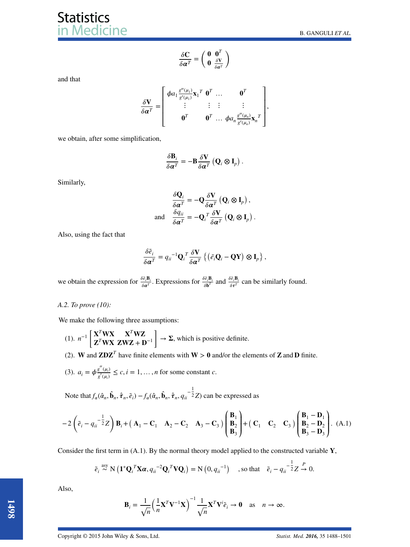$$
\frac{\delta \mathbf{C}}{\delta \boldsymbol{\alpha}^T} = \left(\begin{array}{cc} \mathbf{0} & \mathbf{0}^T \\ \mathbf{0} & \frac{\delta \mathbf{V}}{\delta \boldsymbol{\alpha}^T} \end{array}\right)
$$

and that

**Statistics** 

edicine

$$
\frac{\delta \mathbf{V}}{\delta \boldsymbol{\alpha}^T} = \begin{bmatrix} \phi a_1 \frac{g''(\mu_1)}{g'(\mu_1)} \mathbf{x}_1^T & \mathbf{0}^T & \dots & \mathbf{0}^T \\ \vdots & \vdots & \vdots & \vdots \\ \mathbf{0}^T & \mathbf{0}^T & \dots & \phi a_n \frac{g''(\mu_n)}{g'(\mu_n)} \mathbf{x}_n^T \end{bmatrix},
$$

we obtain, after some simplification,

$$
\frac{\delta \mathbf{B}_i}{\delta \boldsymbol{\alpha}^T} = -\mathbf{B} \frac{\delta \mathbf{V}}{\delta \boldsymbol{\alpha}^T} \left( \mathbf{Q}_i \otimes \mathbf{I}_p \right).
$$

Similarly,

$$
\frac{\delta \mathbf{Q}_i}{\delta \boldsymbol{\alpha}^T} = -\mathbf{Q} \frac{\delta \mathbf{V}}{\delta \boldsymbol{\alpha}^T} \left( \mathbf{Q}_i \otimes \mathbf{I}_p \right),
$$
  
and 
$$
\frac{\delta q_{ii}}{\delta \boldsymbol{\alpha}^T} = -\mathbf{Q}_i^T \frac{\delta \mathbf{V}}{\delta \boldsymbol{\alpha}^T} \left( \mathbf{Q}_i \otimes \mathbf{I}_p \right).
$$

Also, using the fact that

$$
\frac{\delta \tilde{e}_i}{\delta \boldsymbol{\alpha}^T} = q_{ii}^{-1} \mathbf{Q}_i^T \frac{\delta \mathbf{V}}{\delta \boldsymbol{\alpha}^T} \left\{ \left( \tilde{e}_i \mathbf{Q}_i - \mathbf{Q} \mathbf{Y} \right) \otimes \mathbf{I}_p \right\},\
$$

we obtain the expression for  $\frac{\delta \tilde{e}_i \mathbf{B}_i}{\delta \alpha^T}$ . Expressions for  $\frac{\delta \tilde{e}_i \mathbf{B}_i}{\delta \mathbf{b}^T}$  and  $\frac{\delta \tilde{e}_i \mathbf{B}_i}{\delta \tau^T}$  can be similarly found.

#### *A.2. To prove [\(10\)](#page-6-0):*

We make the following three assumptions:

- (1). *n*<sup>−</sup><sup>1</sup>  $\overline{a}$  $X^T$ **WX**  $X^T$ **WZ**  $\mathbf{Z}^T \mathbf{W} \mathbf{X}$  **ZWZ** +  $\mathbf{D}^{-1}$  $\overline{a}$  $\rightarrow \Sigma$ , which is positive definite.
- (2). **W** and  $ZDZ^T$  have finite elements with  $W > 0$  and/or the elements of **Z** and **D** finite.
- (3).  $a_i = \phi \frac{g''(\mu_i)}{g'(\mu_i)}$  $\frac{g(\mu_i)}{g'(\mu_i)} \le c, i = 1, \dots, n$  for some constant *c*.

Note that  $f_\alpha(\hat{\alpha}_n, \hat{\mathbf{b}}_n, \hat{\boldsymbol{\tau}}_n, \tilde{e}_i) - f_\alpha(\hat{\alpha}_n, \hat{\mathbf{b}}_n, \hat{\boldsymbol{\tau}}_n, q_{ii})$  $-\frac{1}{2}Z$ ) can be expressed as

<span id="page-11-0"></span>
$$
-2\left(\tilde{e}_i - q_{ii}^{-\frac{1}{2}}Z\right)B_i + (A_1 - C_1 \quad A_2 - C_2 \quad A_3 - C_3)\begin{pmatrix} B_1 \\ B_2 \\ B_3 \end{pmatrix} + (C_1 \quad C_2 \quad C_3)\begin{pmatrix} B_1 - D_1 \\ B_2 - D_2 \\ B_3 - D_3 \end{pmatrix}.
$$
 (A.1)

Consider the first term in [\(A.1\)](#page-11-0). By the normal theory model applied to the constructed variable **Y**,

$$
\tilde{e}_i \stackrel{\text{asy}}{\sim} \text{N}\left(\mathbf{1}^*\mathbf{Q}_i^T\mathbf{X}\boldsymbol{\alpha}, q_{ii}^{-2}\mathbf{Q}_i^T\mathbf{V}\mathbf{Q}_i\right) = \text{N}\left(0, q_{ii}^{-1}\right) \quad \text{, so that} \quad \tilde{e}_i - q_{ii}^{-\frac{1}{2}}Z \stackrel{P}{\rightarrow} 0.
$$

Also,

$$
\mathbf{B}_{i} = \frac{1}{\sqrt{n}} \left( \frac{1}{n} \mathbf{X}^{T} \mathbf{V}^{-1} \mathbf{X} \right)^{-1} \frac{1}{\sqrt{n}} \mathbf{X}^{T} \mathbf{V}^{i} \tilde{e}_{i} \to \mathbf{0} \text{ as } n \to \infty.
$$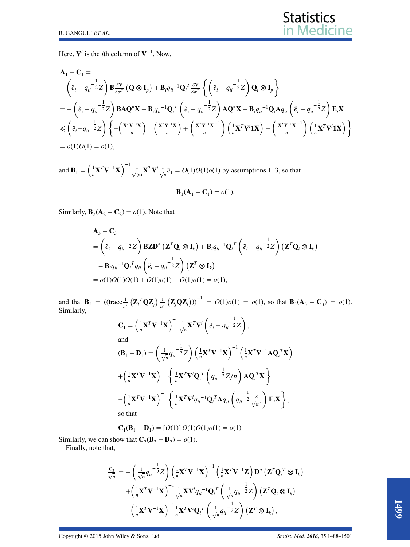Here,  $V^i$  is the *i*th column of  $V^{-1}$ . Now,

$$
\mathbf{A}_{1} - \mathbf{C}_{1} =
$$
\n
$$
-\left(\tilde{e}_{i} - q_{ii}^{-\frac{1}{2}}Z\right)\mathbf{B} \frac{\delta \mathbf{V}}{\delta \alpha^{T}}\left(\mathbf{Q} \otimes \mathbf{I}_{p}\right) + \mathbf{B}_{i}q_{ii}^{-1}\mathbf{Q}_{i}^{T} \frac{\delta \mathbf{V}}{\delta \alpha^{T}}\left\{\left(\tilde{e}_{i} - q_{ii}^{-\frac{1}{2}}Z\right)\mathbf{Q}_{i} \otimes \mathbf{I}_{p}\right\}
$$
\n
$$
= -\left(\tilde{e}_{i} - q_{ii}^{-\frac{1}{2}}Z\right)\mathbf{B}\mathbf{A}\mathbf{Q}^{*}\mathbf{X} + \mathbf{B}_{i}q_{ii}^{-1}\mathbf{Q}_{i}^{T}\left(\tilde{e}_{i} - q_{ii}^{-\frac{1}{2}}Z\right)\mathbf{A}\mathbf{Q}^{*}\mathbf{X} - \mathbf{B}_{i}q_{ii}^{-1}\mathbf{Q}_{i}\mathbf{A}q_{ii}\left(\tilde{e}_{i} - q_{ii}^{-\frac{1}{2}}Z\right)\mathbf{E}_{i}\mathbf{X}
$$
\n
$$
\leq \left(\tilde{e}_{i} - q_{ii}^{-\frac{1}{2}}Z\right)\left\{-\left(\frac{\mathbf{X}^{T}\mathbf{V}^{-1}\mathbf{X}}{n}\right)^{-1}\left(\frac{\mathbf{X}^{T}\mathbf{V}^{-1}\mathbf{X}}{n}\right) + \left(\frac{\mathbf{X}^{T}\mathbf{V}^{-1}\mathbf{X}}{n}\right)^{-1}\left(\frac{1}{n}\mathbf{X}^{T}\mathbf{V}^{i}\mathbf{1}\mathbf{X}\right) - \left(\frac{\mathbf{X}^{T}\mathbf{V}^{-1}\mathbf{X}}{n}\right)^{-1}\left(\frac{1}{n}\mathbf{X}^{T}\mathbf{V}^{i}\mathbf{1}\mathbf{X}\right)\right\}
$$
\n
$$
= o(1)O(1) = o(1),
$$

and  $\mathbf{B}_1 =$  $\sqrt{1}$  $\frac{1}{n}$ **X**<sup>*T*</sup>**V**<sup>−1</sup>**X** $\int_0^{-1} \frac{1}{\sqrt{n}}$ *X<sup>T</sup>V<sup><i>i*</sup>  $\frac{1}{\sqrt{n}}$ *e*<sub>1</sub> = *O*(1)*O*(1)*o*(1) by assumptions 1–3, so that

$$
\mathbf{B}_1(\mathbf{A}_1 - \mathbf{C}_1) = o(1).
$$

Similarly,  $\mathbf{B}_2(\mathbf{A}_2 - \mathbf{C}_2) = o(1)$ . Note that

$$
\mathbf{A}_{3} - \mathbf{C}_{3}
$$
\n
$$
= \left(\tilde{e}_{i} - q_{ii}^{-\frac{1}{2}}Z\right) \mathbf{B} \mathbf{Z} \mathbf{D}^{*} \left(\mathbf{Z}^{T} \mathbf{Q}_{i} \otimes \mathbf{I}_{k}\right) + \mathbf{B}_{i} q_{ii}^{-1} \mathbf{Q}_{i}^{T} \left(\tilde{e}_{i} - q_{ii}^{-\frac{1}{2}}Z\right) \left(\mathbf{Z}^{T} \mathbf{Q}_{i} \otimes \mathbf{I}_{k}\right)
$$
\n
$$
- \mathbf{B}_{i} q_{ii}^{-1} \mathbf{Q}_{i}^{T} q_{ii} \left(\tilde{e}_{i} - q_{ii}^{-\frac{1}{2}}Z\right) \left(\mathbf{Z}^{T} \otimes \mathbf{I}_{k}\right)
$$
\n
$$
= o(1)O(1)O(1) + O(1)o(1) - O(1)o(1) = o(1),
$$

and that  $\mathbf{B}_3$  = ((trace  $\frac{1}{n^2}$ )  $\overline{\phantom{a}}$  $\mathbf{Z}_l^T \mathbf{Q} \mathbf{Z}_j \big) \frac{1}{n^2}$ *n*2  $\overline{\phantom{a}}$  $\mathbf{Z}_j \mathbf{Q} \mathbf{Z}_l$  $\mathbf{r}$  $\left( \int_{0}^{1} \right)^{-1} = O(1) o(1) = o(1)$ , so that  $\mathbf{B}_{3}(\mathbf{A}_{3} - \mathbf{C}_{3}) = o(1)$ . Similarly,  $\overline{\phantom{a}}$  $\overline{a}$ 

$$
\mathbf{C}_{1} = \left(\frac{1}{n}\mathbf{X}^{T}\mathbf{V}^{-1}\mathbf{X}\right)^{-1}\frac{1}{\sqrt{n}}\mathbf{X}^{T}\mathbf{V}^{i}\left(\tilde{\mathbf{e}}_{i}-q_{ii}^{-\frac{1}{2}}Z\right),
$$
  
and  

$$
(\mathbf{B}_{1}-\mathbf{D}_{1}) = \left(\frac{1}{\sqrt{n}}q_{ii}^{-\frac{1}{2}}Z\right)\left(\frac{1}{n}\mathbf{X}^{T}\mathbf{V}^{-1}\mathbf{X}\right)^{-1}\left(\frac{1}{n}\mathbf{X}^{T}\mathbf{V}^{-1}\mathbf{A}\mathbf{Q}_{i}^{T}\mathbf{X}\right)
$$

$$
+\left(\frac{1}{n}\mathbf{X}^{T}\mathbf{V}^{-1}\mathbf{X}\right)^{-1}\left\{\frac{1}{n}\mathbf{X}^{T}\mathbf{V}^{i}\mathbf{Q}_{i}^{T}\left(q_{ii}^{-\frac{1}{2}}Z/n\right)\mathbf{A}\mathbf{Q}_{i}^{T}\mathbf{X}\right\}
$$

$$
-\left(\frac{1}{n}\mathbf{X}^{T}\mathbf{V}^{-1}\mathbf{X}\right)^{-1}\left\{\frac{1}{n}\mathbf{X}^{T}\mathbf{V}^{i}q_{ii}^{-1}\mathbf{Q}_{i}^{T}\mathbf{A}q_{ii}\left(q_{ii}^{-\frac{1}{2}}\frac{Z}{\sqrt{n}}\right)\mathbf{E}_{i}\mathbf{X}\right\},
$$
so that

 $\mathbf{C}_1(\mathbf{B}_1 - \mathbf{D}_1) = [O(1)] O(1) O(1) o(1) = o(1)$ 

Similarly, we can show that  $C_2(B_2 - D_2) = o(1)$ .

Finally, note that,

$$
\frac{\mathbf{C}_{3}}{\sqrt{n}} = -\left(\frac{1}{\sqrt{n}}q_{ii}^{-\frac{1}{2}}Z\right)\left(\frac{1}{n}\mathbf{X}^{T}\mathbf{V}^{-1}\mathbf{X}\right)^{-1}\left(\frac{1}{n}\mathbf{X}^{T}\mathbf{V}^{-1}\mathbf{Z}\right)\mathbf{D}^{*}\left(\mathbf{Z}^{T}\mathbf{Q}_{i}^{-T}\otimes\mathbf{I}_{k}\right) \n+\left(\frac{1}{n}\mathbf{X}^{T}\mathbf{V}^{-1}\mathbf{X}\right)^{-1}\frac{1}{\sqrt{n}}\mathbf{X}\mathbf{V}^{i}q_{ii}^{-1}\mathbf{Q}_{i}^{T}\left(\frac{1}{\sqrt{n}}q_{ii}^{-\frac{1}{2}}Z\right)\left(\mathbf{Z}^{T}\mathbf{Q}_{i}\otimes\mathbf{I}_{k}\right) \n-\left(\frac{1}{n}\mathbf{X}^{T}\mathbf{V}^{-1}\mathbf{X}\right)^{-1}\frac{1}{n}\mathbf{X}^{T}\mathbf{V}^{i}\mathbf{Q}_{i}^{T}\left(\frac{1}{\sqrt{n}}q_{ii}^{-\frac{1}{2}}Z\right)\left(\mathbf{Z}^{T}\otimes\mathbf{I}_{k}\right),
$$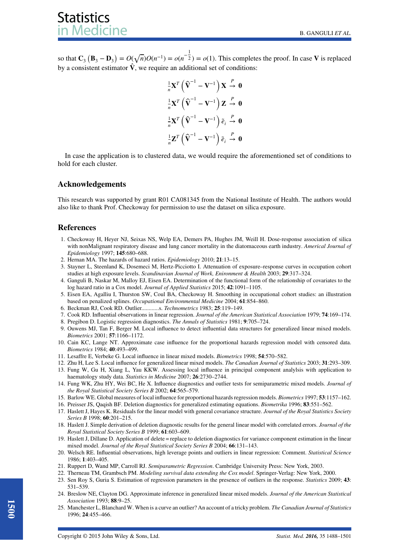so that  $\mathbf{C}_3$  $\overline{a}$ **<sub>3</sub> −**  $**D**$ **<sub>3</sub>**  $\mathbf{r}$ = *O*( √ $\overline{n}$ )*O*( $n^{-1}$ ) =  $o(n^{-\frac{1}{2}})$  =  $o(1)$ . This completes the proof. In case **V** is replaced by a consistent estimator  $\hat{V}$ , we require an additional set of conditions:

$$
\frac{1}{n}\mathbf{X}^T \left(\widehat{\mathbf{V}}^{-1} - \mathbf{V}^{-1}\right) \mathbf{X} \stackrel{P}{\rightarrow} \mathbf{0}
$$
\n
$$
\frac{1}{n}\mathbf{X}^T \left(\widehat{\mathbf{V}}^{-1} - \mathbf{V}^{-1}\right) \mathbf{Z} \stackrel{P}{\rightarrow} \mathbf{0}
$$
\n
$$
\frac{1}{n}\mathbf{X}^T \left(\widehat{\mathbf{V}}^{-1} - \mathbf{V}^{-1}\right) \widetilde{\mathbf{e}}_i \stackrel{P}{\rightarrow} \mathbf{0}
$$
\n
$$
\frac{1}{n}\mathbf{Z}^T \left(\widehat{\mathbf{V}}^{-1} - \mathbf{V}^{-1}\right) \widetilde{\mathbf{e}}_i \stackrel{P}{\rightarrow} \mathbf{0}
$$

In case the application is to clustered data, we would require the aforementioned set of conditions to hold for each cluster.

## **Acknowledgements**

This research was supported by grant R01 CA081345 from the National Institute of Health. The authors would also like to thank Prof. Checkoway for permission to use the dataset on silica exposure.

#### **References**

- <span id="page-13-0"></span>1. Checkoway H, Heyer NJ, Seixas NS, Welp EA, Demers PA, Hughes JM, Weill H. Dose-response association of silica with nonMalignant respiratory disease and lung cancer mortality in the diatomaceous earth industry. *Americal Journal of Epidemiology* 1997; **145**:680–688.
- <span id="page-13-1"></span>2. Hernan MA. The hazards of hazard ratios. *Epidemiology* 2010; **21**:13–15.
- <span id="page-13-2"></span>3. Stayner L, Steenland K, Dosemeci M, Hertz-Picciotto I. Attenuation of exposure–response curves in occupation cohort studies at high exposure levels. *Scandinavian Journal of Work, Enironment & Health* 2003; **29**:317–324.
- <span id="page-13-3"></span>4. Ganguli B, Naskar M, Malloy EJ, Eisen EA. Determination of the functional form of the relationship of covariates to the log hazard ratio in a Cox model. *Journal of Applied Statistics* 2015; **42**:1091–1105.
- <span id="page-13-4"></span>5. Eisen EA, Agalliu I, Thurston SW, Coul BA, Checkoway H. Smoothing in occupational cohort studies: an illustration based on penalized splines. *Occupational Environmental Medicine* 2004; **61**:854–860.
- <span id="page-13-5"></span>6. Beckman RJ, Cook RD. Outlier............s. *Technometrics* 1983; **25**:119–149.
- <span id="page-13-6"></span>7. Cook RD. Influential observations in linear regression. *Journal of the American Statistical Association* 1979; **74**:169–174.
- <span id="page-13-7"></span>8. Pregibon D. Logistic regression diagnostics. *The Annals of Statistics* 1981; **9**:705–724.
- 9. Ouwens MJ, Tan F, Berger M. Local influence to detect influential data structures for generalized linear mixed models. *Biometrics* 2001; **57**:1166–1172.
- 10. Cain KC, Lange NT. Approximate case influence for the proportional hazards regression model with censored data. *Biometrics* 1984; **40**:493–499.
- 11. Lesaffre E, Verbeke G. Local influence in linear mixed models. *Biometrics* 1998; **54**:570–582.
- 12. Zhu H, Lee S. Local influence for generalized linear mixed models. *The Canadian Journal of Statistics* 2003; **31**:293–309.
- <span id="page-13-8"></span>13. Fung W, Gu H, Xiang L, Yau KKW. Assessing local influence in principal component analylsis with application to haematology study data. *Statistics in Medicine* 2007; **26**:2730–2744.
- <span id="page-13-9"></span>14. Fung WK, Zhu HY, Wei BC, He X. Influence diagnostics and outlier tests for semiparametric mixed models. *Journal of the Royal Statistical Society Series B* 2002; **64**:565–579.
- <span id="page-13-10"></span>15. Barlow WE. Global measures of local influence for proportional hazards regression models. *Biometrics* 1997; **53**:1157–162.
- <span id="page-13-11"></span>16. Preisser JS, Qaqish BF. Deletion diagnostics for generalized estimating equations. *Biometrika* 1996; **83**:551–562.
- <span id="page-13-12"></span>17. Haslett J, Hayes K. Residuals for the linear model with general covariance structure. *Journal of the Royal Statistics Society Series B* 1998; **60**:201–215.
- <span id="page-13-13"></span>18. Haslett J. Simple derivation of deletion diagnostic results for the general linear model with correlated errors. *Journal of the Royal Statistical Society Series B* 1999; **61**:603–609.
- <span id="page-13-14"></span>19. Haslett J, Dillane D. Application of delete = replace to deletion diagnostics for variance component estimation in the linear mixed model. *Journal of the Royal Statistical Society Series B* 2004; **66**:131–143.
- <span id="page-13-15"></span>20. Welsch RE. Influential observations, high leverage points and outliers in linear regression: Comment. *Statistical Science* 1986; **1**:403–405.
- <span id="page-13-16"></span>21. Ruppert D, Wand MP, Carroll RJ. *Semiparametric Regression*. Cambridge University Press: New York, 2003.
- <span id="page-13-17"></span>22. Therneau TM, Grambsch PM. *Modeling survival data extending the Cox model*. Springer-Verlag: New York, 2000.
- <span id="page-13-18"></span>23. Sen Roy S, Guria S. Estimation of regression parameters in the presence of outliers in the response. *Statistics* 2009; **43**: 531–539.
- <span id="page-13-19"></span>24. Breslow NE, Clayton DG. Approximate inference in generalized linear mixed models. *Journal of the American Statistical Association* 1993; **88**:9–25.
- <span id="page-13-20"></span>25. Manchester L, Blanchard W. When is a curve an outlier? An account of a tricky problem. *The Canadian Journal of Statistics* 1996; **24**:455–466.